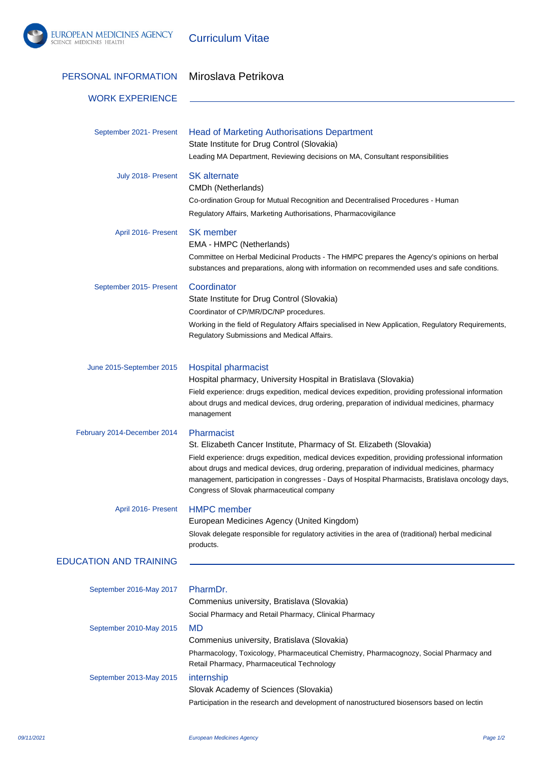

Curriculum Vitae

| PERSONAL INFORMATION          | Miroslava Petrikova                                                                                                                                                                                                                                                                                                                                                                                                                         |
|-------------------------------|---------------------------------------------------------------------------------------------------------------------------------------------------------------------------------------------------------------------------------------------------------------------------------------------------------------------------------------------------------------------------------------------------------------------------------------------|
| <b>WORK EXPERIENCE</b>        |                                                                                                                                                                                                                                                                                                                                                                                                                                             |
| September 2021- Present       | <b>Head of Marketing Authorisations Department</b><br>State Institute for Drug Control (Slovakia)<br>Leading MA Department, Reviewing decisions on MA, Consultant responsibilities                                                                                                                                                                                                                                                          |
| July 2018- Present            | <b>SK</b> alternate<br>CMDh (Netherlands)<br>Co-ordination Group for Mutual Recognition and Decentralised Procedures - Human<br>Regulatory Affairs, Marketing Authorisations, Pharmacovigilance                                                                                                                                                                                                                                             |
| April 2016- Present           | <b>SK</b> member<br>EMA - HMPC (Netherlands)<br>Committee on Herbal Medicinal Products - The HMPC prepares the Agency's opinions on herbal<br>substances and preparations, along with information on recommended uses and safe conditions.                                                                                                                                                                                                  |
| September 2015- Present       | Coordinator<br>State Institute for Drug Control (Slovakia)<br>Coordinator of CP/MR/DC/NP procedures.<br>Working in the field of Regulatory Affairs specialised in New Application, Regulatory Requirements,<br>Regulatory Submissions and Medical Affairs.                                                                                                                                                                                  |
| June 2015-September 2015      | <b>Hospital pharmacist</b><br>Hospital pharmacy, University Hospital in Bratislava (Slovakia)<br>Field experience: drugs expedition, medical devices expedition, providing professional information<br>about drugs and medical devices, drug ordering, preparation of individual medicines, pharmacy<br>management                                                                                                                          |
| February 2014-December 2014   | Pharmacist<br>St. Elizabeth Cancer Institute, Pharmacy of St. Elizabeth (Slovakia)<br>Field experience: drugs expedition, medical devices expedition, providing professional information<br>about drugs and medical devices, drug ordering, preparation of individual medicines, pharmacy<br>management, participation in congresses - Days of Hospital Pharmacists, Bratislava oncology days,<br>Congress of Slovak pharmaceutical company |
| April 2016- Present           | <b>HMPC</b> member<br>European Medicines Agency (United Kingdom)<br>Slovak delegate responsible for regulatory activities in the area of (traditional) herbal medicinal<br>products.                                                                                                                                                                                                                                                        |
| <b>EDUCATION AND TRAINING</b> |                                                                                                                                                                                                                                                                                                                                                                                                                                             |
| September 2016-May 2017       | PharmDr.<br>Commenius university, Bratislava (Slovakia)<br>Social Pharmacy and Retail Pharmacy, Clinical Pharmacy                                                                                                                                                                                                                                                                                                                           |
| September 2010-May 2015       | <b>MD</b><br>Commenius university, Bratislava (Slovakia)<br>Pharmacology, Toxicology, Pharmaceutical Chemistry, Pharmacognozy, Social Pharmacy and<br>Retail Pharmacy, Pharmaceutical Technology                                                                                                                                                                                                                                            |
| September 2013-May 2015       | internship<br>Slovak Academy of Sciences (Slovakia)<br>Participation in the research and development of nanostructured biosensors based on lectin                                                                                                                                                                                                                                                                                           |